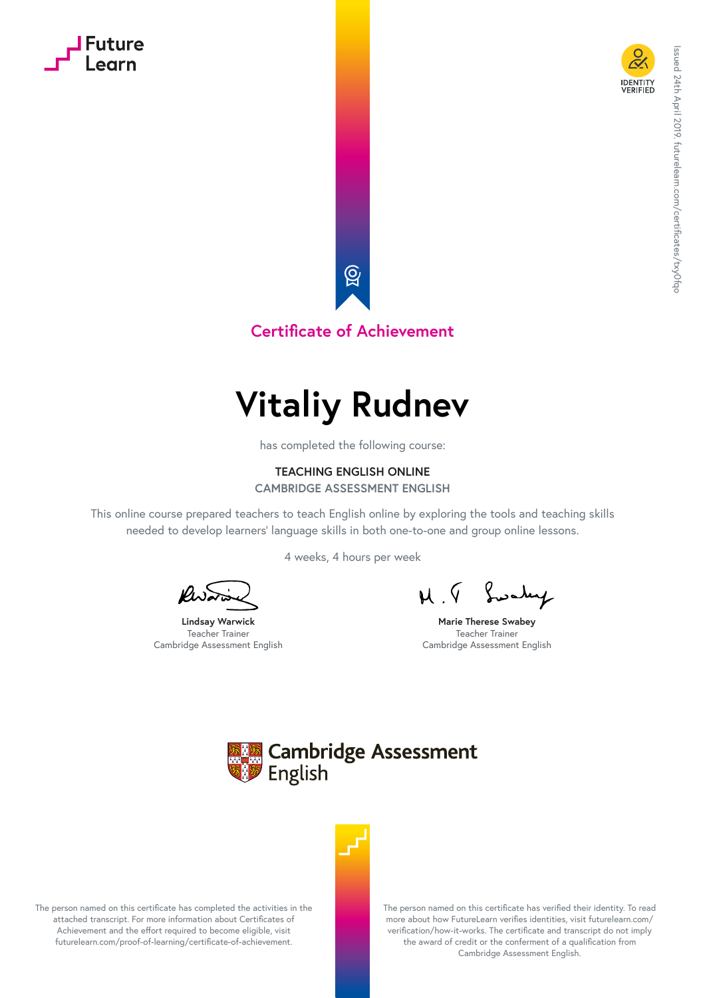# **Future**





### **Certificate of Achievement**

## **Vitaliy Rudnev**

has completed the following course:

#### **TEACHING ENGLISH ONLINE CAMBRIDGE ASSESSMENT ENGLISH**

This online course prepared teachers to teach English online by exploring the tools and teaching skills needed to develop learners' language skills in both one-to-one and group online lessons.

4 weeks, 4 hours per week

**Lindsay Warwick** Teacher Trainer Cambridge Assessment English

 $M.9$  Swaley

**Marie Therese Swabey** Teacher Trainer Cambridge Assessment English



The person named on this certificate has completed the activities in the attached transcript. For more information about Certificates of Achievement and the effort required to become eligible, visit futurelearn.com/proof-of-learning/certificate-of-achievement.